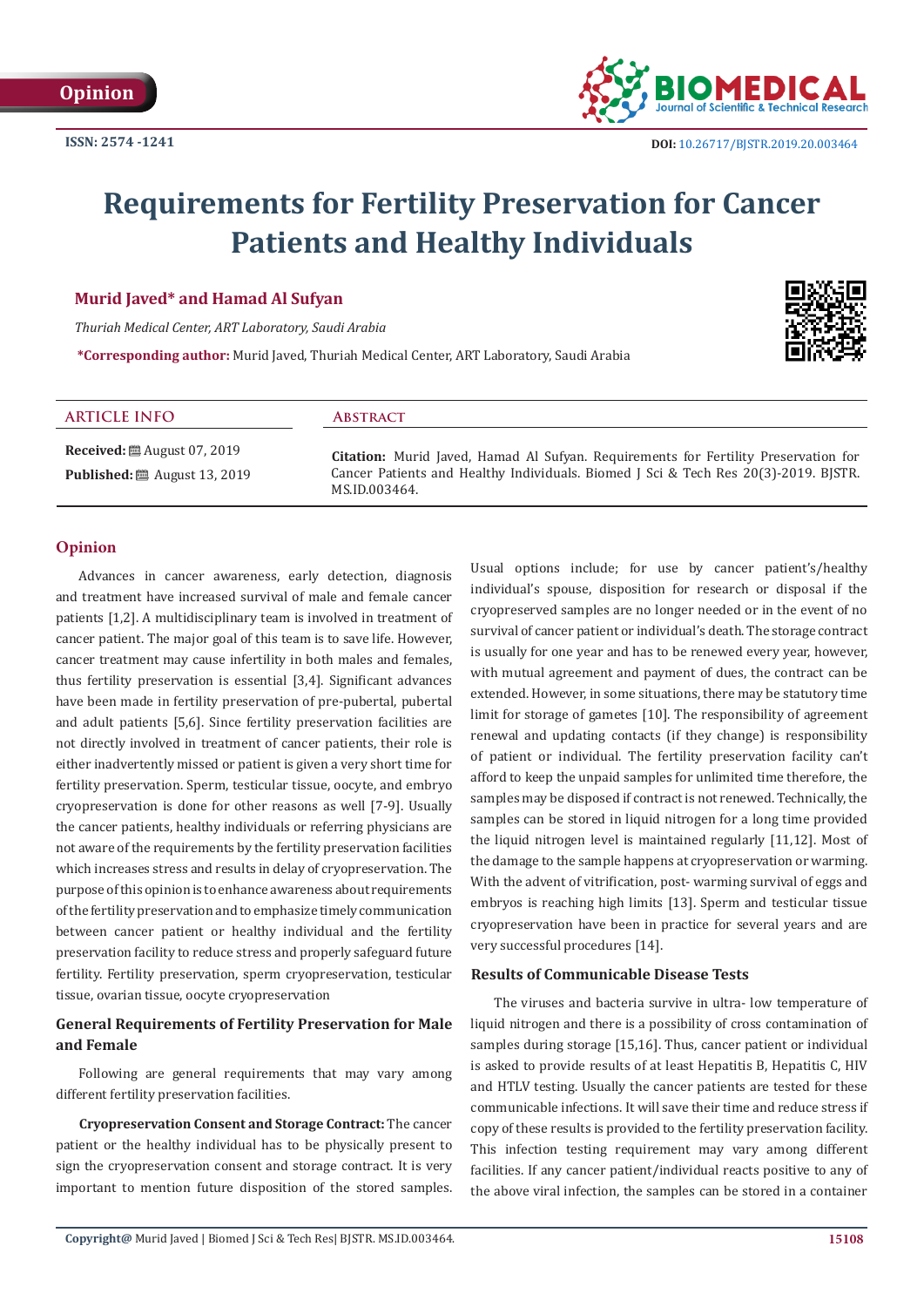

# **Requirements for Fertility Preservation for Cancer Patients and Healthy Individuals**

# **Murid Javed\* and Hamad Al Sufyan**

*Thuriah Medical Center, ART Laboratory, Saudi Arabia*

**\*Corresponding author:** Murid Javed, Thuriah Medical Center, ART Laboratory, Saudi Arabia



#### **ARTICLE INFO Abstract**

**Received:** ■ August 07, 2019 **Published:** ■ August 13, 2019

**Citation:** Murid Javed, Hamad Al Sufyan. Requirements for Fertility Preservation for Cancer Patients and Healthy Individuals. Biomed J Sci & Tech Res 20(3)-2019. BJSTR. MS.ID.003464.

# **Opinion**

Advances in cancer awareness, early detection, diagnosis and treatment have increased survival of male and female cancer patients [1,2]. A multidisciplinary team is involved in treatment of cancer patient. The major goal of this team is to save life. However, cancer treatment may cause infertility in both males and females, thus fertility preservation is essential [3,4]. Significant advances have been made in fertility preservation of pre-pubertal, pubertal and adult patients [5,6]. Since fertility preservation facilities are not directly involved in treatment of cancer patients, their role is either inadvertently missed or patient is given a very short time for fertility preservation. Sperm, testicular tissue, oocyte, and embryo cryopreservation is done for other reasons as well [7-9]. Usually the cancer patients, healthy individuals or referring physicians are not aware of the requirements by the fertility preservation facilities which increases stress and results in delay of cryopreservation. The purpose of this opinion is to enhance awareness about requirements of the fertility preservation and to emphasize timely communication between cancer patient or healthy individual and the fertility preservation facility to reduce stress and properly safeguard future fertility. Fertility preservation, sperm cryopreservation, testicular tissue, ovarian tissue, oocyte cryopreservation

# **General Requirements of Fertility Preservation for Male and Female**

Following are general requirements that may vary among different fertility preservation facilities.

**Cryopreservation Consent and Storage Contract:** The cancer patient or the healthy individual has to be physically present to sign the cryopreservation consent and storage contract. It is very important to mention future disposition of the stored samples. Usual options include; for use by cancer patient's/healthy individual's spouse, disposition for research or disposal if the cryopreserved samples are no longer needed or in the event of no survival of cancer patient or individual's death. The storage contract is usually for one year and has to be renewed every year, however, with mutual agreement and payment of dues, the contract can be extended. However, in some situations, there may be statutory time limit for storage of gametes [10]. The responsibility of agreement renewal and updating contacts (if they change) is responsibility of patient or individual. The fertility preservation facility can't afford to keep the unpaid samples for unlimited time therefore, the samples may be disposed if contract is not renewed. Technically, the samples can be stored in liquid nitrogen for a long time provided the liquid nitrogen level is maintained regularly [11,12]. Most of the damage to the sample happens at cryopreservation or warming. With the advent of vitrification, post- warming survival of eggs and embryos is reaching high limits [13]. Sperm and testicular tissue cryopreservation have been in practice for several years and are very successful procedures [14].

#### **Results of Communicable Disease Tests**

The viruses and bacteria survive in ultra- low temperature of liquid nitrogen and there is a possibility of cross contamination of samples during storage [15,16]. Thus, cancer patient or individual is asked to provide results of at least Hepatitis B, Hepatitis C, HIV and HTLV testing. Usually the cancer patients are tested for these communicable infections. It will save their time and reduce stress if copy of these results is provided to the fertility preservation facility. This infection testing requirement may vary among different facilities. If any cancer patient/individual reacts positive to any of the above viral infection, the samples can be stored in a container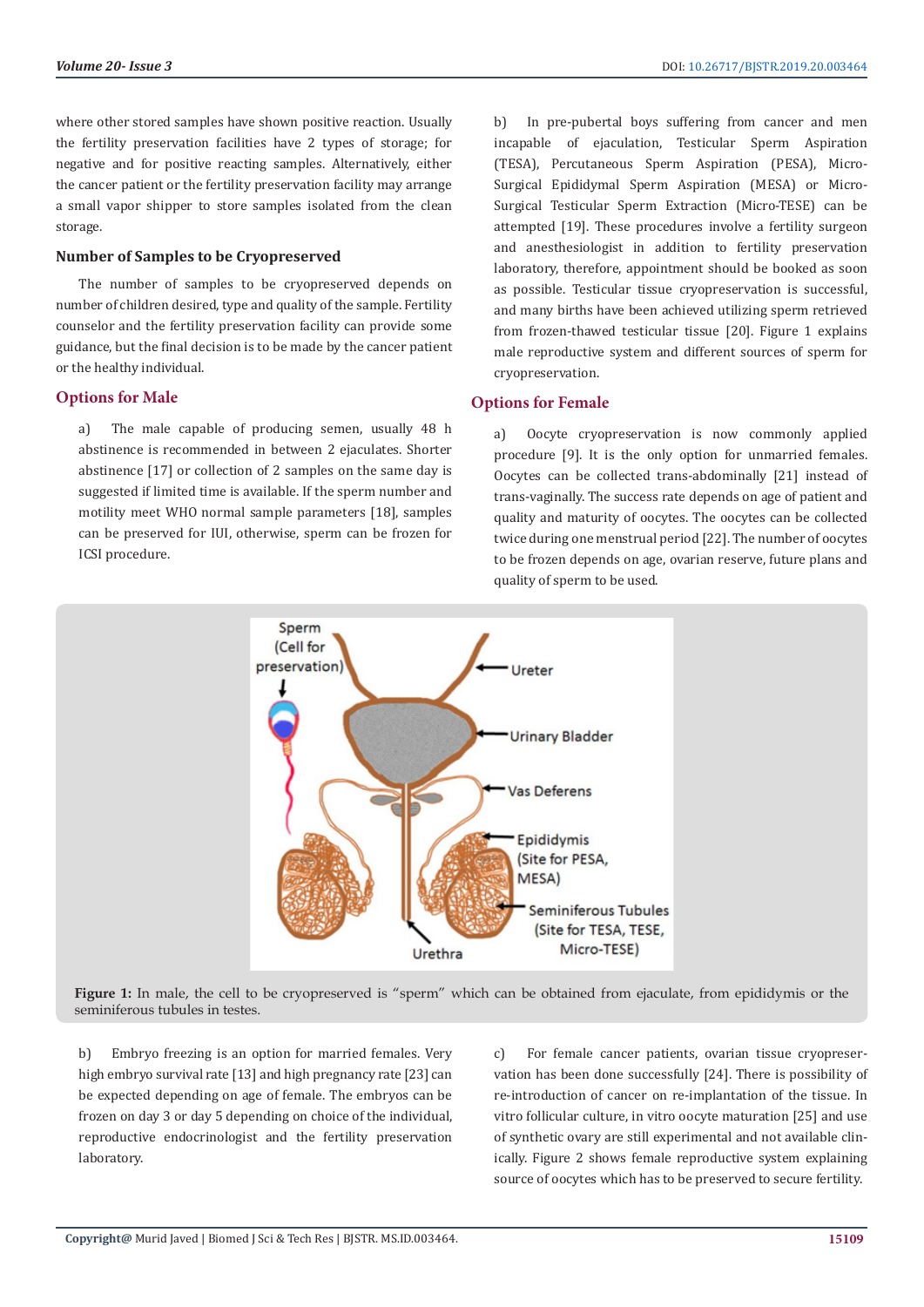where other stored samples have shown positive reaction. Usually the fertility preservation facilities have 2 types of storage; for negative and for positive reacting samples. Alternatively, either the cancer patient or the fertility preservation facility may arrange a small vapor shipper to store samples isolated from the clean storage.

#### **Number of Samples to be Cryopreserved**

The number of samples to be cryopreserved depends on number of children desired, type and quality of the sample. Fertility counselor and the fertility preservation facility can provide some guidance, but the final decision is to be made by the cancer patient or the healthy individual.

# **Options for Male**

a) The male capable of producing semen, usually 48 h abstinence is recommended in between 2 ejaculates. Shorter abstinence [17] or collection of 2 samples on the same day is suggested if limited time is available. If the sperm number and motility meet WHO normal sample parameters [18], samples can be preserved for IUI, otherwise, sperm can be frozen for ICSI procedure.

b) In pre-pubertal boys suffering from cancer and men incapable of ejaculation, Testicular Sperm Aspiration (TESA), Percutaneous Sperm Aspiration (PESA), Micro-Surgical Epididymal Sperm Aspiration (MESA) or Micro-Surgical Testicular Sperm Extraction (Micro-TESE) can be attempted [19]. These procedures involve a fertility surgeon and anesthesiologist in addition to fertility preservation laboratory, therefore, appointment should be booked as soon as possible. Testicular tissue cryopreservation is successful, and many births have been achieved utilizing sperm retrieved from frozen-thawed testicular tissue [20]. Figure 1 explains male reproductive system and different sources of sperm for cryopreservation.

#### **Options for Female**

a) Oocyte cryopreservation is now commonly applied procedure [9]. It is the only option for unmarried females. Oocytes can be collected trans-abdominally [21] instead of trans-vaginally. The success rate depends on age of patient and quality and maturity of oocytes. The oocytes can be collected twice during one menstrual period [22]. The number of oocytes to be frozen depends on age, ovarian reserve, future plans and quality of sperm to be used.



Figure 1: In male, the cell to be cryopreserved is "sperm" which can be obtained from ejaculate, from epididymis or the seminiferous tubules in testes.

b) Embryo freezing is an option for married females. Very high embryo survival rate [13] and high pregnancy rate [23] can be expected depending on age of female. The embryos can be frozen on day 3 or day 5 depending on choice of the individual, reproductive endocrinologist and the fertility preservation laboratory.

c) For female cancer patients, ovarian tissue cryopreservation has been done successfully [24]. There is possibility of re-introduction of cancer on re-implantation of the tissue. In vitro follicular culture, in vitro oocyte maturation [25] and use of synthetic ovary are still experimental and not available clinically. Figure 2 shows female reproductive system explaining source of oocytes which has to be preserved to secure fertility.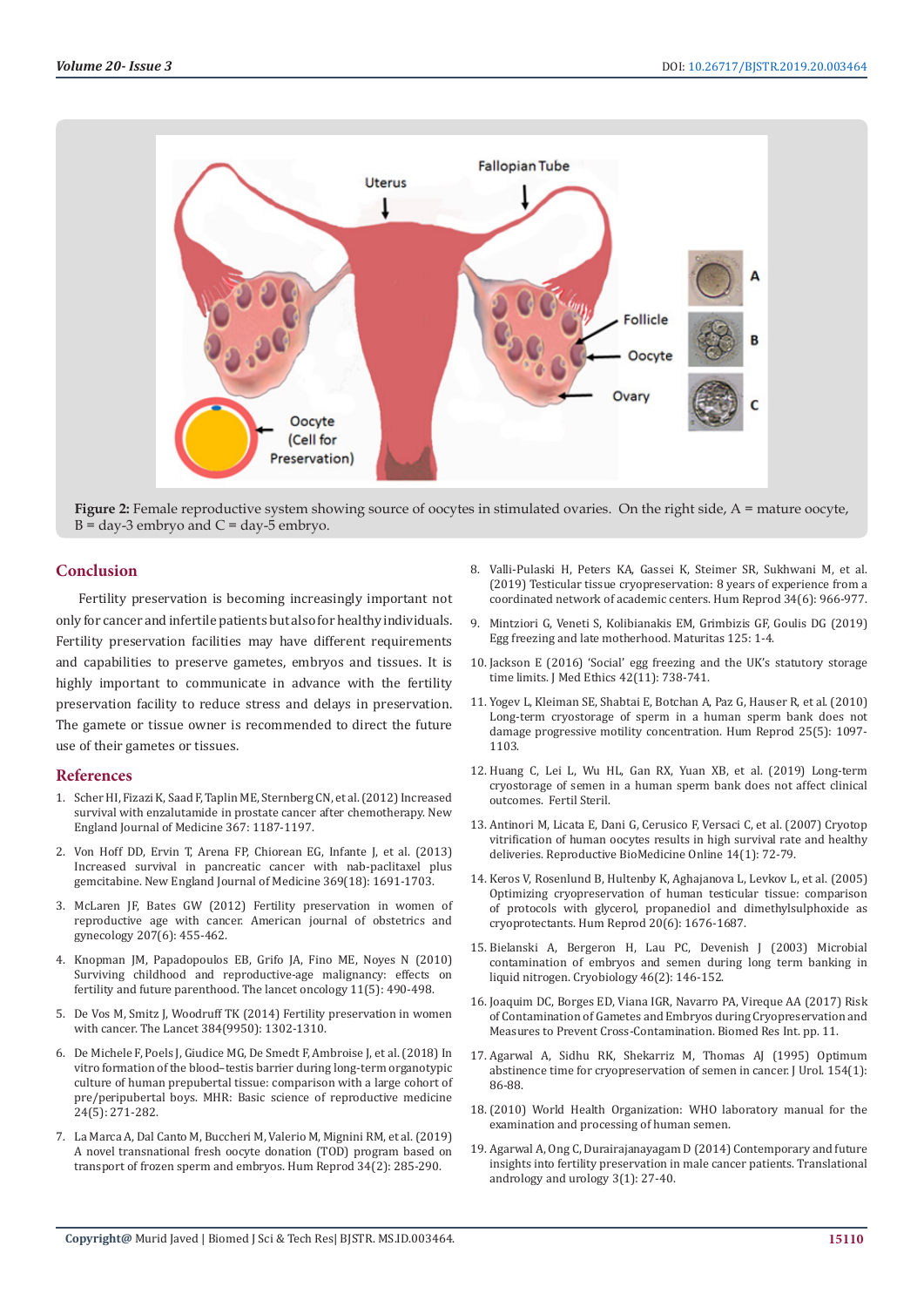

**Figure 2:** Female reproductive system showing source of oocytes in stimulated ovaries. On the right side, A = mature oocyte,  $B = day-3$  embryo and  $C = day-5$  embryo.

# **Conclusion**

Fertility preservation is becoming increasingly important not only for cancer and infertile patients but also for healthy individuals. Fertility preservation facilities may have different requirements and capabilities to preserve gametes, embryos and tissues. It is highly important to communicate in advance with the fertility preservation facility to reduce stress and delays in preservation. The gamete or tissue owner is recommended to direct the future use of their gametes or tissues.

#### **References**

- 1. [Scher HI, Fizazi K, Saad F, Taplin ME, Sternberg CN, et al. \(2012\) Increased](https://www.nejm.org/doi/full/10.1056/NEJMoa1207506)  [survival with enzalutamide in prostate cancer after chemotherapy. New](https://www.nejm.org/doi/full/10.1056/NEJMoa1207506)  [England Journal of Medicine 367: 1187-1197.](https://www.nejm.org/doi/full/10.1056/NEJMoa1207506)
- 2. Von Hoff DD, Ervin T, Arena FP, Chiorean EG, Infante J, et al. (2013) Increased survival in pancreatic cancer with nab-paclitaxel plus gemcitabine. New England Journal of Medicine 369(18): 1691-1703.
- 3. McLaren JF, Bates GW (2012) Fertility preservation in women of reproductive age with cancer. American journal of obstetrics and gynecology 207(6): 455-462.
- 4. [Knopman JM, Papadopoulos EB, Grifo JA, Fino ME, Noyes N \(2010\)](https://www.ncbi.nlm.nih.gov/pubmed/20153978)  [Surviving childhood and reproductive-age malignancy: effects on](https://www.ncbi.nlm.nih.gov/pubmed/20153978)  [fertility and future parenthood. The lancet oncology 11\(5\): 490-498.](https://www.ncbi.nlm.nih.gov/pubmed/20153978)
- 5. [De Vos M, Smitz J, Woodruff TK \(2014\) Fertility preservation in women](https://www.ncbi.nlm.nih.gov/pubmed/25283571)  [with cancer. The Lancet 384\(9950\): 1302-1310.](https://www.ncbi.nlm.nih.gov/pubmed/25283571)
- 6. [De Michele F, Poels J, Giudice MG, De Smedt F, Ambroise J, et al. \(2018\) In](https://www.ncbi.nlm.nih.gov/pubmed/29538744)  [vitro formation of the blood–testis barrier during long-term organotypic](https://www.ncbi.nlm.nih.gov/pubmed/29538744)  [culture of human prepubertal tissue: comparison with a large cohort of](https://www.ncbi.nlm.nih.gov/pubmed/29538744)  [pre/peripubertal boys. MHR: Basic science of reproductive medicine](https://www.ncbi.nlm.nih.gov/pubmed/29538744)  [24\(5\): 271-282.](https://www.ncbi.nlm.nih.gov/pubmed/29538744)
- 7. [La Marca A, Dal Canto M, Buccheri M, Valerio M, Mignini RM, et al. \(2019\)](https://www.ncbi.nlm.nih.gov/pubmed/30520998)  [A novel transnational fresh oocyte donation \(TOD\) program based on](https://www.ncbi.nlm.nih.gov/pubmed/30520998)  [transport of frozen sperm and embryos. Hum Reprod 34\(2\): 285-290.](https://www.ncbi.nlm.nih.gov/pubmed/30520998)
- 8. [Valli-Pulaski H, Peters KA, Gassei K, Steimer SR, Sukhwani M, et al.](https://academic.oup.com/humrep/article/34/6/966/5491250) [\(2019\) Testicular tissue cryopreservation: 8 years of experience from a](https://academic.oup.com/humrep/article/34/6/966/5491250) [coordinated network of academic centers. Hum Reprod 34\(6\): 966-977.](https://academic.oup.com/humrep/article/34/6/966/5491250)
- 9. [Mintziori G, Veneti S, Kolibianakis EM, Grimbizis GF, Goulis DG \(2019\)](https://www.maturitas.org/article/S0378-5122(19)30026-X/abstract) [Egg freezing and late motherhood. Maturitas 125: 1-4.](https://www.maturitas.org/article/S0378-5122(19)30026-X/abstract)
- 10. [Jackson E \(2016\) 'Social' egg freezing and the UK's statutory storage](file:///E:/varalakshmi/13-8-2019/BJSTR.MS.ID.003464-SI/BJSTR-DRG-19-OP-151-SI_W/) [time limits. J Med Ethics 42\(11\): 738-741.](file:///E:/varalakshmi/13-8-2019/BJSTR.MS.ID.003464-SI/BJSTR-DRG-19-OP-151-SI_W/)
- 11. Yogev L, Kleiman SE, Shabtai E, Botchan A, Paz G, Hauser R, et al. (2010) Long-term cryostorage of sperm in a human sperm bank does not damage progressive motility concentration. Hum Reprod 25(5): 1097- 1103.
- 12. Huang C, Lei L, Wu HL, Gan RX, Yuan XB, et al. (2019) Long-term cryostorage of semen in a human sperm bank does not affect clinical outcomes. Fertil Steril.
- 13. Antinori M, Licata E, Dani G, Cerusico F, Versaci C, et al. (2007) Cryotop vitrification of human oocytes results in high survival rate and healthy deliveries. Reproductive BioMedicine Online 14(1): 72-79.
- 14. Keros V, Rosenlund B, Hultenby K, Aghajanova L, Levkov L, et al. (2005) Optimizing cryopreservation of human testicular tissue: comparison of protocols with glycerol, propanediol and dimethylsulphoxide as cryoprotectants. Hum Reprod 20(6): 1676-1687.
- 15. Bielanski A, Bergeron H, Lau PC, Devenish J (2003) Microbial contamination of embryos and semen during long term banking in liquid nitrogen. Cryobiology 46(2): 146-152.
- 16. Joaquim DC, Borges ED, Viana IGR, Navarro PA, Vireque AA (2017) Risk of Contamination of Gametes and Embryos during Cryopreservation and Measures to Prevent Cross-Contamination. Biomed Res Int. pp. 11.
- 17. Agarwal A, Sidhu RK, Shekarriz M, Thomas AJ (1995) Optimum abstinence time for cryopreservation of semen in cancer. J Urol. 154(1): 86-88.
- 18.(2010) World Health Organization: WHO laboratory manual for the examination and processing of human semen.
- 19. Agarwal A, Ong C, Durairajanayagam D (2014) Contemporary and future insights into fertility preservation in male cancer patients. Translational andrology and urology 3(1): 27-40.